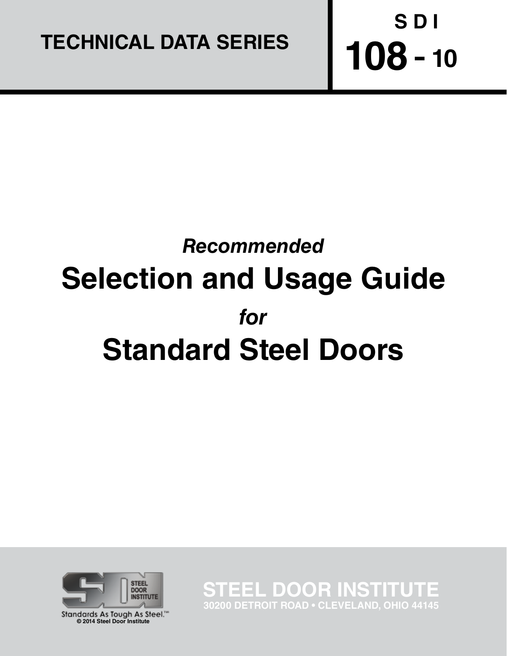

# *Recommended*  **Selection and Usage Guide** *for* **Standard Steel Doors**



Standards As Tough As Steel." **© 2014 Steel Door Institute**

**STEEL DOOR INSTITU 30200 DETROIT ROAD • CLEVELAND, OHIO 44145**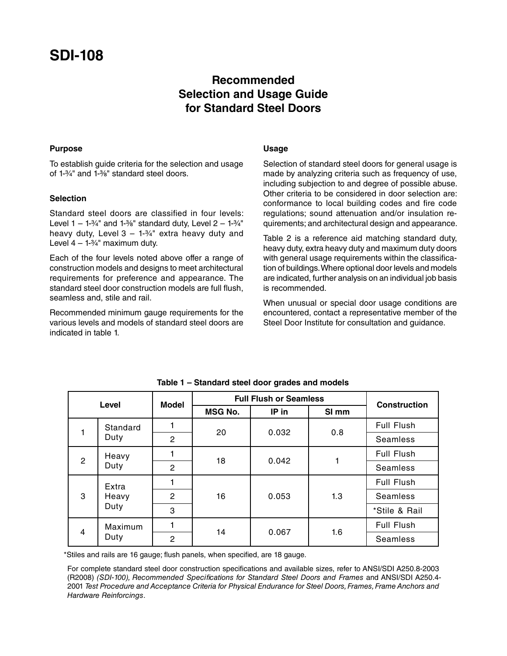## **SDI-108**

### **Recommended Selection and Usage Guide for Standard Steel Doors**

#### **Purpose**

To establish guide criteria for the selection and usage of 1-3/4" and 1-3/8" standard steel doors.

#### **Selection**

Standard steel doors are classified in four levels: Level  $1 - 1.3/4$ " and  $1.3/8$ " standard duty, Level  $2 - 1.3/4$ " heavy duty, Level  $3 - 1.34$ " extra heavy duty and Level  $4 - 1-3/4$ " maximum duty.

Each of the four levels noted above offer a range of construction models and designs to meet architectural requirements for preference and appearance. The standard steel door construction models are full flush, seamless and, stile and rail.

Recommended minimum gauge requirements for the various levels and models of standard steel doors are indicated in table 1.

#### **Usage**

Selection of standard steel doors for general usage is made by analyzing criteria such as frequency of use, including subjection to and degree of possible abuse. Other criteria to be considered in door selection are: conformance to local building codes and fire code regulations; sound attenuation and/or insulation requirements; and architectural design and appearance.

Table 2 is a reference aid matching standard duty, heavy duty, extra heavy duty and maximum duty doors with general usage requirements within the classification of buildings. Where optional door levels and models are indicated, further analysis on an individual job basis is recommended.

When unusual or special door usage conditions are encountered, contact a representative member of the Steel Door Institute for consultation and guidance.

| Level          |                        | <b>Model</b> | <b>Full Flush or Seamless</b> | <b>Construction</b> |                  |                 |  |
|----------------|------------------------|--------------|-------------------------------|---------------------|------------------|-----------------|--|
|                |                        |              | <b>MSG No.</b>                | IP in               | SI <sub>mm</sub> |                 |  |
|                | Standard<br>Duty       |              | 20                            | 0.032               | 0.8              | Full Flush      |  |
|                |                        | 2            |                               |                     |                  | <b>Seamless</b> |  |
| $\overline{2}$ | Heavy<br>Duty          |              | 18                            | 0.042               |                  | Full Flush      |  |
|                |                        | 2            |                               |                     |                  | <b>Seamless</b> |  |
| 3              | Extra<br>Heavy<br>Duty |              |                               |                     |                  | Full Flush      |  |
|                |                        | 2            | 16                            | 0.053               | 1.3              | Seamless        |  |
|                |                        | 3            |                               |                     |                  | *Stile & Rail   |  |
| $\overline{4}$ | Maximum<br>Duty        |              | 14                            | 0.067               | 1.6              | Full Flush      |  |
|                |                        | 2            |                               |                     |                  | Seamless        |  |

**Table 1 – Standard steel door grades and models**

\*Stiles and rails are 16 gauge; flush panels, when specified, are 18 gauge.

For complete standard steel door construction specifications and available sizes, refer to ANSI/SDI A250.8-2003 (R2008) *(SDI-100), Recommended Specifications for Standard Steel Doors and Frames* and ANSI/SDI A250.4- 2001 *Test Procedure and Acceptance Criteria for Physical Endurance for Steel Doors, Frames, Frame Anchors and Hardware Reinforcings*.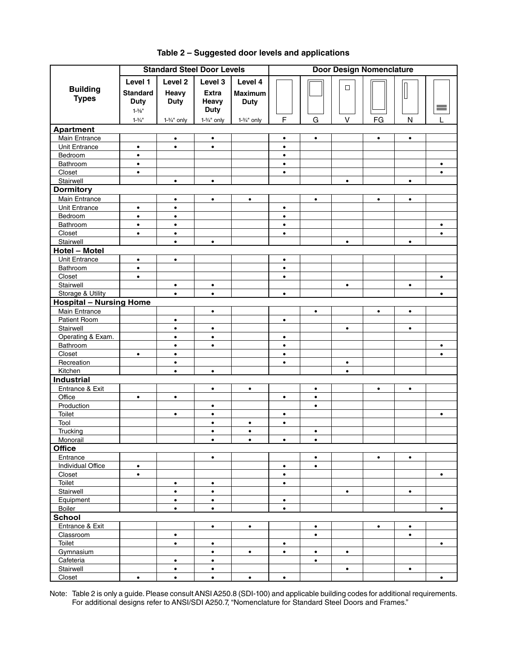|                                | <b>Standard Steel Door Levels</b> | <b>Door Design Nomenclature</b> |                        |                |                        |           |             |           |              |                        |
|--------------------------------|-----------------------------------|---------------------------------|------------------------|----------------|------------------------|-----------|-------------|-----------|--------------|------------------------|
|                                | Level 1                           | Level <sub>2</sub>              | Level 3                | Level 4        |                        |           |             |           |              |                        |
| <b>Building</b>                | <b>Standard</b>                   | Heavy                           | <b>Extra</b>           | <b>Maximum</b> |                        |           | $\Box$      |           |              |                        |
| <b>Types</b>                   | <b>Duty</b>                       | <b>Duty</b>                     | Heavy                  | <b>Duty</b>    |                        |           |             |           |              |                        |
|                                | $1 - \frac{3}{8}$ "               |                                 | <b>Duty</b>            |                |                        |           |             |           |              | 亖                      |
|                                | $1 - \frac{3}{4}$ "               | $1-3/4"$ only                   | $1-3/4"$ only          | $1-3/4"$ only  | F                      | G         | $\mathsf V$ | FG        | $\mathsf{N}$ | L                      |
| <b>Apartment</b>               |                                   |                                 |                        |                |                        |           |             |           |              |                        |
| Main Entrance                  |                                   | $\bullet$                       | $\bullet$              |                | $\bullet$              | $\bullet$ |             | $\bullet$ | $\bullet$    |                        |
| <b>Unit Entrance</b>           | $\bullet$                         | $\bullet$                       | $\bullet$              |                | $\bullet$              |           |             |           |              |                        |
| Bedroom                        | $\bullet$                         |                                 |                        |                | $\bullet$              |           |             |           |              |                        |
| Bathroom                       | $\bullet$                         |                                 |                        |                | $\bullet$              |           |             |           |              | $\bullet$              |
| Closet                         | $\bullet$                         |                                 |                        |                | $\bullet$              |           |             |           |              | $\bullet$              |
| Stairwell                      |                                   | $\bullet$                       | $\bullet$              |                |                        |           | $\bullet$   |           | $\bullet$    |                        |
| <b>Dormitory</b>               |                                   |                                 |                        |                |                        |           |             |           |              |                        |
| Main Entrance                  |                                   | $\bullet$                       | $\bullet$              | $\bullet$      |                        | $\bullet$ |             | $\bullet$ | $\bullet$    |                        |
| Unit Entrance                  | $\bullet$                         | $\bullet$                       |                        |                | $\bullet$              |           |             |           |              |                        |
| Bedroom                        | $\bullet$                         | $\bullet$                       |                        |                | $\bullet$              |           |             |           |              |                        |
| Bathroom                       | $\bullet$                         | $\bullet$                       |                        |                | $\bullet$              |           |             |           |              | $\bullet$              |
| Closet                         | $\bullet$                         | $\bullet$                       |                        |                | $\bullet$              |           |             |           |              | $\bullet$              |
| Stairwell                      |                                   | $\bullet$                       | $\bullet$              |                |                        |           | $\bullet$   |           | $\bullet$    |                        |
| Hotel - Motel                  |                                   |                                 |                        |                |                        |           |             |           |              |                        |
| <b>Unit Entrance</b>           | $\bullet$                         | $\bullet$                       |                        |                | $\bullet$              |           |             |           |              |                        |
| Bathroom                       | $\bullet$                         |                                 |                        |                | $\bullet$              |           |             |           |              |                        |
| Closet                         | $\bullet$                         |                                 |                        |                | $\bullet$              |           |             |           |              | $\bullet$              |
| Stairwell                      |                                   | $\bullet$                       | $\bullet$              |                |                        |           | $\bullet$   |           | $\bullet$    |                        |
| Storage & Utility              |                                   | $\bullet$                       | $\bullet$              |                | $\bullet$              |           |             |           |              | $\bullet$              |
| <b>Hospital - Nursing Home</b> |                                   |                                 |                        |                |                        |           |             |           |              |                        |
| Main Entrance                  |                                   |                                 | $\bullet$              |                |                        | $\bullet$ |             | $\bullet$ | $\bullet$    |                        |
| Patient Room                   |                                   | $\bullet$                       |                        |                | $\bullet$              |           |             |           |              |                        |
| Stairwell                      |                                   | $\bullet$                       | $\bullet$              |                |                        |           | $\bullet$   |           | $\bullet$    |                        |
| Operating & Exam.              |                                   | $\bullet$<br>$\bullet$          | $\bullet$<br>$\bullet$ |                | $\bullet$              |           |             |           |              |                        |
| Bathroom<br>Closet             | $\bullet$                         | $\bullet$                       |                        |                | $\bullet$<br>$\bullet$ |           |             |           |              | $\bullet$<br>$\bullet$ |
| Recreation                     |                                   | $\bullet$                       |                        |                | $\bullet$              |           | $\bullet$   |           |              |                        |
| Kitchen                        |                                   | $\bullet$                       | $\bullet$              |                |                        |           | $\bullet$   |           |              |                        |
| <b>Industrial</b>              |                                   |                                 |                        |                |                        |           |             |           |              |                        |
| Entrance & Exit                |                                   |                                 | $\bullet$              | $\bullet$      |                        | $\bullet$ |             | $\bullet$ | $\bullet$    |                        |
| Office                         | $\bullet$                         | $\bullet$                       |                        |                | $\bullet$              | $\bullet$ |             |           |              |                        |
| Production                     |                                   |                                 | $\bullet$              |                |                        | $\bullet$ |             |           |              |                        |
| Toilet                         |                                   | $\bullet$                       | $\bullet$              |                | $\bullet$              |           |             |           |              | $\bullet$              |
| Tool                           |                                   |                                 | $\bullet$              | $\bullet$      | $\bullet$              |           |             |           |              |                        |
| Trucking                       |                                   |                                 | $\bullet$              | $\bullet$      |                        | $\bullet$ |             |           |              |                        |
| Monorail                       |                                   |                                 | $\bullet$              | $\bullet$      | $\bullet$              | $\bullet$ |             |           |              |                        |
| <b>Office</b>                  |                                   |                                 |                        |                |                        |           |             |           |              |                        |
| Entrance                       |                                   |                                 | $\bullet$              |                |                        | $\bullet$ |             | $\bullet$ | $\bullet$    |                        |
| Individual Office              | $\bullet$                         |                                 |                        |                | $\bullet$              | $\bullet$ |             |           |              |                        |
| Closet                         | $\bullet$                         |                                 |                        |                | $\bullet$              |           |             |           |              | $\bullet$              |
| Toilet                         |                                   | $\bullet$                       | $\bullet$              |                | $\bullet$              |           |             |           |              |                        |
| Stairwell                      |                                   | $\bullet$                       | $\bullet$              |                |                        |           | $\bullet$   |           | $\bullet$    |                        |
| Equipment                      |                                   | $\bullet$                       | $\bullet$              |                | $\bullet$              |           |             |           |              |                        |
| <b>Boiler</b>                  |                                   | $\bullet$                       | $\bullet$              |                | $\bullet$              |           |             |           |              | $\bullet$              |
| <b>School</b>                  |                                   |                                 |                        |                |                        |           |             |           |              |                        |
| Entrance & Exit                |                                   |                                 | $\bullet$              | $\bullet$      |                        | $\bullet$ |             | $\bullet$ | $\bullet$    |                        |
| Classroom                      |                                   | $\bullet$                       |                        |                |                        | $\bullet$ |             |           | $\bullet$    |                        |
| Toilet                         |                                   | $\bullet$                       | $\bullet$              |                | $\bullet$              |           |             |           |              | $\bullet$              |
| Gymnasium                      |                                   |                                 | $\bullet$              | $\bullet$      | $\bullet$              | $\bullet$ | $\bullet$   |           |              |                        |
| Cafeteria                      |                                   | $\bullet$                       | $\bullet$              |                |                        | $\bullet$ |             |           |              |                        |
| Stairwell                      |                                   | $\bullet$                       | $\bullet$              |                |                        |           | $\bullet$   |           | $\bullet$    |                        |
| Closet                         | $\bullet$                         | $\bullet$                       | $\bullet$              | $\bullet$      | $\bullet$              |           |             |           |              | $\bullet$              |

#### **Table 2 – Suggested door levels and applications**

Note: Table 2 is only a guide. Please consult ANSI A250.8 (SDI-100) and applicable building codes for additional requirements. For additional designs refer to ANSI/SDI A250.7, "Nomenclature for Standard Steel Doors and Frames."